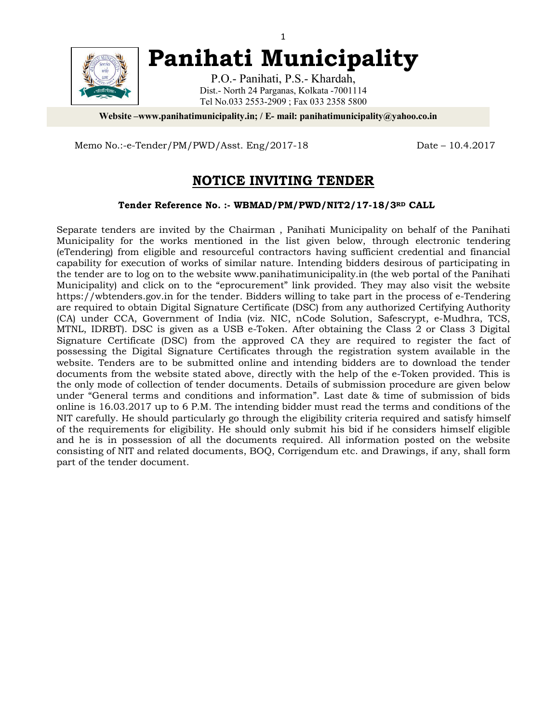

**Panihati Municipality**

P.O.- Panihati, P.S.- Khardah, Dist.- North 24 Parganas, Kolkata -7001114 Tel No.033 2553-2909 ; Fax 033 2358 5800

**Website –www.panihatimunicipality.in; / E- mail: panihatimunicipality@yahoo.co.in**

Memo No.:-e-Tender/PM/PWD/Asst. Eng/2017-18 Date – 10.4.2017

# **NOTICE INVITING TENDER**

**Tender Reference No. :- WBMAD/PM/PWD/NIT2/17-18/3RD CALL**

Separate tenders are invited by the Chairman , Panihati Municipality on behalf of the Panihati Municipality for the works mentioned in the list given below, through electronic tendering (eTendering) from eligible and resourceful contractors having sufficient credential and financial capability for execution of works of similar nature. Intending bidders desirous of participating in the tender are to log on to the website www.panihatimunicipality.in (the web portal of the Panihati Municipality) and click on to the "eprocurement" link provided. They may also visit the website https://wbtenders.gov.in for the tender. Bidders willing to take part in the process of e-Tendering are required to obtain Digital Signature Certificate (DSC) from any authorized Certifying Authority (CA) under CCA, Government of India (viz. NIC, nCode Solution, Safescrypt, e-Mudhra, TCS, MTNL, IDRBT). DSC is given as a USB e-Token. After obtaining the Class 2 or Class 3 Digital Signature Certificate (DSC) from the approved CA they are required to register the fact of possessing the Digital Signature Certificates through the registration system available in the website. Tenders are to be submitted online and intending bidders are to download the tender documents from the website stated above, directly with the help of the e-Token provided. This is the only mode of collection of tender documents. Details of submission procedure are given below under "General terms and conditions and information". Last date & time of submission of bids online is 16.03.2017 up to 6 P.M. The intending bidder must read the terms and conditions of the NIT carefully. He should particularly go through the eligibility criteria required and satisfy himself of the requirements for eligibility. He should only submit his bid if he considers himself eligible and he is in possession of all the documents required. All information posted on the website consisting of NIT and related documents, BOQ, Corrigendum etc. and Drawings, if any, shall form part of the tender document.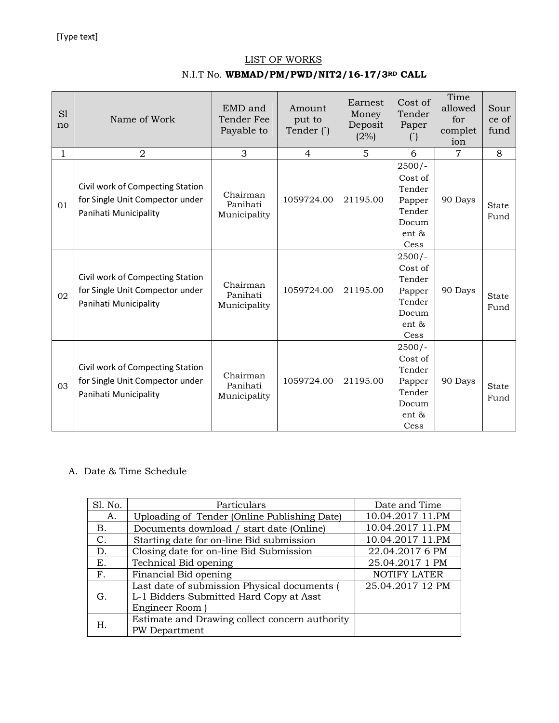#### LIST OF WORKS

## N.I.T No. **WBMAD/PM/PWD/NIT2/16-17/3RD CALL**

| S1<br>no     | Name of Work                                                                                 | EMD and<br>Tender Fee<br>Payable to  | Amount<br>put to<br>Tender () | Earnest<br>Money<br>Deposit<br>(2%) | Cost of<br>Tender<br>Paper<br>$\left( \begin{array}{c} \cdot \\ \cdot \end{array} \right)$ | Time<br>allowed<br>for<br>complet<br>ion | Sour<br>ce of<br>fund |
|--------------|----------------------------------------------------------------------------------------------|--------------------------------------|-------------------------------|-------------------------------------|--------------------------------------------------------------------------------------------|------------------------------------------|-----------------------|
| $\mathbf{1}$ | $\overline{2}$                                                                               | 3                                    | $\overline{4}$                | 5                                   | 6                                                                                          | 7                                        | 8                     |
| 01           | Civil work of Compecting Station<br>for Single Unit Compector under<br>Panihati Municipality | Chairman<br>Panihati<br>Municipality | 1059724.00                    | 21195.00                            | $2500/-$<br>Cost of<br>Tender<br>Papper<br>Tender<br>Docum<br>ent &<br>Cess                | 90 Days                                  | <b>State</b><br>Fund  |
| 02           | Civil work of Compecting Station<br>for Single Unit Compector under<br>Panihati Municipality | Chairman<br>Panihati<br>Municipality | 1059724.00                    | 21195.00                            | $2500/-$<br>Cost of<br>Tender<br>Papper<br>Tender<br>Docum<br>ent &<br>Cess                | 90 Days                                  | State<br>Fund         |
| 03           | Civil work of Compecting Station<br>for Single Unit Compector under<br>Panihati Municipality | Chairman<br>Panihati<br>Municipality | 1059724.00                    | 21195.00                            | $2500/-$<br>Cost of<br>Tender<br>Papper<br>Tender<br>Docum<br>ent &<br>Cess                | 90 Days                                  | State<br>Fund         |

### A. Date & Time Schedule

| Sl. No. | Particulars                                                                             | Date and Time    |  |  |
|---------|-----------------------------------------------------------------------------------------|------------------|--|--|
| А.      | Uploading of Tender (Online Publishing Date)                                            | 10.04.2017 11.PM |  |  |
| В.      | Documents download / start date (Online)                                                | 10.04.2017 11.PM |  |  |
| C.      | Starting date for on-line Bid submission                                                | 10.04.2017 11.PM |  |  |
| D.      | Closing date for on-line Bid Submission                                                 | 22.04.2017 6 PM  |  |  |
| Е.      | Technical Bid opening                                                                   | 25.04.2017 1 PM  |  |  |
| F.      | Financial Bid opening                                                                   | NOTIFY LATER     |  |  |
| G.      | Last date of submission Physical documents (<br>L-1 Bidders Submitted Hard Copy at Asst | 25.04.2017 12 PM |  |  |
|         | Engineer Room)                                                                          |                  |  |  |
| Н.      | Estimate and Drawing collect concern authority                                          |                  |  |  |
|         | <b>PW</b> Department                                                                    |                  |  |  |